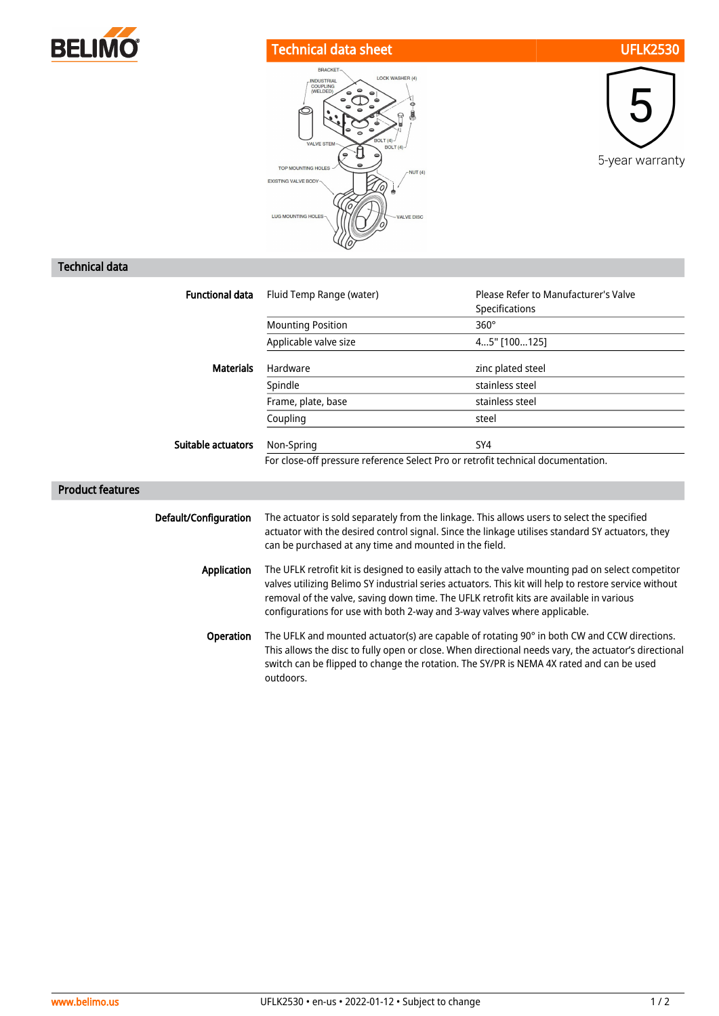

## Technical data sheet UFLK2530





## Technical data

| <b>Functional data</b>  | Fluid Temp Range (water)                                                                                                                                                                                                                                                                                                                                                           | Please Refer to Manufacturer's Valve<br>Specifications |
|-------------------------|------------------------------------------------------------------------------------------------------------------------------------------------------------------------------------------------------------------------------------------------------------------------------------------------------------------------------------------------------------------------------------|--------------------------------------------------------|
|                         | <b>Mounting Position</b>                                                                                                                                                                                                                                                                                                                                                           | $360^\circ$                                            |
|                         | Applicable valve size                                                                                                                                                                                                                                                                                                                                                              | 45" [100125]                                           |
| <b>Materials</b>        | Hardware                                                                                                                                                                                                                                                                                                                                                                           | zinc plated steel                                      |
|                         | Spindle                                                                                                                                                                                                                                                                                                                                                                            | stainless steel                                        |
|                         | Frame, plate, base                                                                                                                                                                                                                                                                                                                                                                 | stainless steel                                        |
|                         | Coupling                                                                                                                                                                                                                                                                                                                                                                           | steel                                                  |
| Suitable actuators      | Non-Spring                                                                                                                                                                                                                                                                                                                                                                         | SY4                                                    |
|                         | For close-off pressure reference Select Pro or retrofit technical documentation.                                                                                                                                                                                                                                                                                                   |                                                        |
| <b>Product features</b> |                                                                                                                                                                                                                                                                                                                                                                                    |                                                        |
| Default/Configuration   | The actuator is sold separately from the linkage. This allows users to select the specified<br>actuator with the desired control signal. Since the linkage utilises standard SY actuators, they<br>can be purchased at any time and mounted in the field.                                                                                                                          |                                                        |
| <b>Application</b>      | The UFLK retrofit kit is designed to easily attach to the valve mounting pad on select competitor<br>valves utilizing Belimo SY industrial series actuators. This kit will help to restore service without<br>removal of the valve, saving down time. The UFLK retrofit kits are available in various<br>configurations for use with both 2-way and 3-way valves where applicable. |                                                        |
| Operation               | The UFLK and mounted actuator(s) are capable of rotating 90° in both CW and CCW directions.<br>This allows the disc to fully open or close. When directional needs vary, the actuator's directional<br>switch can be flipped to change the rotation. The SY/PR is NEMA 4X rated and can be used<br>outdoors.                                                                       |                                                        |